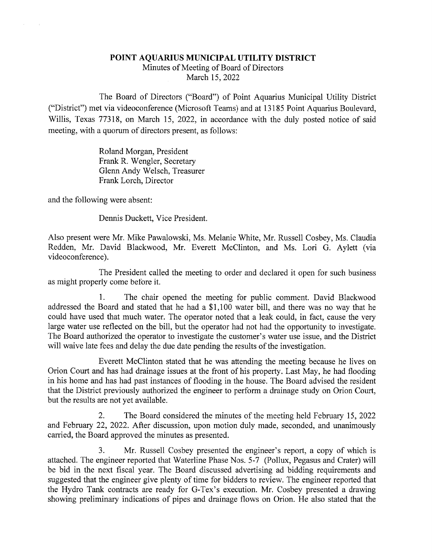## POINT AQUARIUS MUNICIPAL UTILITY DISTRICT Minutes of Meeting of Board of Directors March 15, 2022

The Board of Directors ("Board") of Point Aquarius Municipal Utility District ("District") met via videoconference (Microsoft Teams) and at 13185 Point Aquarius Boulevard, Willis, Texas 77318, on March 15, 2022, in accordance with the duly posted notice of said meeting, with a quorum of directors present, as follows:

> Roland Morgan, President Frank R. Wengler, Secretary Glenn Andy Welsch, Treasurer Frank Lorch, Director

and the following were absent:

 $\mathcal{L}^{\mathcal{L}}$ 

 $\sim$ 

Dennis Duckett, Vice President.

Also present were Mr. Mike Pawalowski, Ms. Melanie White, Mr. Russell Cosbey, Ms. Claudia Redden, Mr. David Blackwood, Mr. Everett McClinton, and Ms. Lori G. Aylett (via videoconference).

The President called the meeting to order and declared it open for such business as might properly come before it.

1. The chair opened the meeting for public comment. David Blackwood addressed the Board and stated that he had a \$1,100 water bill, and there was no way that he could have used that much water. The operator noted that a leak could, in fact, cause the very large water use reflected on the bill, but the operator had not had the opportunity to investigate. The Board authorized the operator to investigate the customer's water use issue, and the District will waive late fees and delay the due date pending the results of the investigation.

Everett McClinton stated that he was attending the meeting because he lives on Orion Court and has had drainage issues at the front of his property. Last May, he had flooding in his home and has had past instances of flooding in the house. The Board advised the resident that the District previously authorized the engineer to perform a drainage study on Orion Court, but the results are not yet available.

2. The Board considered the minutes of the meeting held February 15,2022 and February 22, 2022. After discussion, upon motion duly made, seconded, and unanimously carried, the Board approved the minutes as presented.

3. Mr. Russell Cosbey presented the engineer's report, a copy of which is attached. The engineer reported that Waterline Phase Nos. 5-7 (Pollux, Pegasus and Crater) will be bid in the next fiscal year. The Board discussed advertising ad bidding requirements and suggested that the engineer give plenty of time for bidders to review. The engineer reported that the Hydro Tank contracts are ready for G-Tex's execution. Mr. Cosbey presented a drawing showing preliminary indications of pipes and drainage flows on Orion. He also stated that the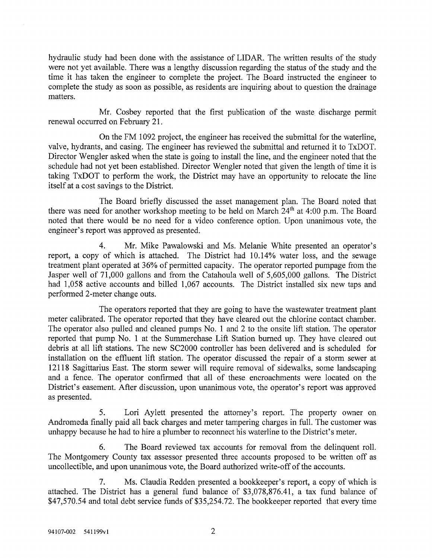hydraulic study had been done with the assistance of LIDAR. The written results of the study were not yet available. There was a lengthy discussion regarding the status of the study and the time it has taken the engineer to complete the project. The Board instructed the engineer to complete the study as soon as possible, as residents are inquiring about to question the drainage matters.

Mr. Cosbey reported that the first publication of the waste discharge permit renewal occurred on February 21.

On the FM 1092 project, the engineer has received the submittal for the waterline, valve, hydrants, and casing. The engineer has reviewed the submittal and returned it to TxDOT. Director Wengler asked when the state is going to install the line, and the engineer noted that the schedule had not yet been established. Director Wengler noted that given the length of time it is taking TxDOT to perform the work, the District may have an opportunity to relocate the line itself at a cost savings to the District.

The Board briefly discussed the asset management plan. The Board noted that there was need for another workshop meeting to be held on March 24<sup>th</sup> at 4:00 p.m. The Board noted that there would be no need for a video conference option. Upon unanimous vote, the engineer's report was approved as presented.

4. Mr. Mike Pawalowski and Ms. Melanie White presented an operator's report, a copy of which is attached. The District had 10.14% water loss, and the sewage treatment plant operated at 36% of permitted capacity. The operator reported pumpage from the Jasper well of 71,000 gallons and from the Catahoula well of 5,605,000 gallons. The District had 1,058 active accounts and billed 1,067 accounts. The District installed six new taps and performed 2-meter change outs.

The operators reported that they are going to have the wastewater treatment plant meter calibrated. The operator reported that they have cleared out the chlorine contact chamber. The operator also pulled and cleaned pumps No. 1 and 2 to the onsite lift station. The operator reported that pump No. 1 at the Summerchase Lift Station burned up. They have cleared out debris at all lift stations. The new SC2000 controller has been delivered and is scheduled for installation on the effluent lift station. The operator discussed the repair of a storm sewer at 12118 Sagittarius East. The storm sewer will require removal of sidewalks, some landscaping and a fence. The operator confirmed that all of these encroachments were located on the District's easement. After discussion, upon unanimous vote, the operator's report was approved as presented.

5. Lori Aylett presented the attorney's report. The property owner on Andromeda finally paid all back charges and meter tampering charges in full. The customer was unhappy because he had to hire a plumber to reconnect his waterline to the District's meter.

6. The Board reviewed tax accounts for removal from the delinquent roll. The Montgomery County tax assessor presented three accounts proposed to be written off as uncollectible, and upon unanimous vote, the Board authorized write-off of the accounts.

7. Ms. Claudia Redden presented a bookkeeper's report, a copy of which is attached. The District has a general fund balance of \$3,078,876.41, a tax fund balance of \$47,570.54 and total debt service funds of \$35,254.72. The bookkeeper reported that every time